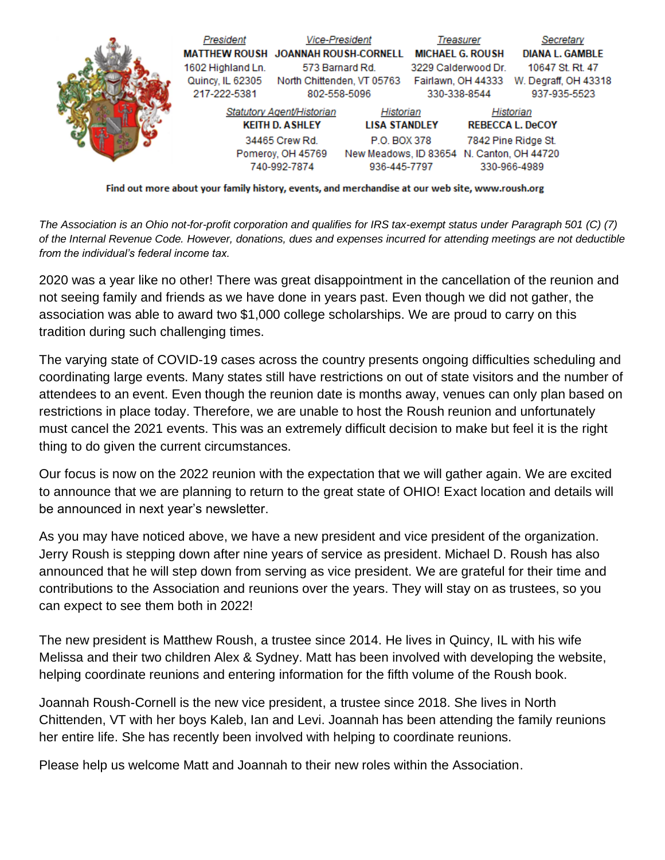

Find out more about your family history, events, and merchandise at our web site, www.roush.org

*The Association is an Ohio not-for-profit corporation and qualifies for IRS tax-exempt status under Paragraph 501 (C) (7) of the Internal Revenue Code. However, donations, dues and expenses incurred for attending meetings are not deductible from the individual's federal income tax.*

2020 was a year like no other! There was great disappointment in the cancellation of the reunion and not seeing family and friends as we have done in years past. Even though we did not gather, the association was able to award two \$1,000 college scholarships. We are proud to carry on this tradition during such challenging times.

The varying state of COVID-19 cases across the country presents ongoing difficulties scheduling and coordinating large events. Many states still have restrictions on out of state visitors and the number of attendees to an event. Even though the reunion date is months away, venues can only plan based on restrictions in place today. Therefore, we are unable to host the Roush reunion and unfortunately must cancel the 2021 events. This was an extremely difficult decision to make but feel it is the right thing to do given the current circumstances.

Our focus is now on the 2022 reunion with the expectation that we will gather again. We are excited to announce that we are planning to return to the great state of OHIO! Exact location and details will be announced in next year's newsletter.

As you may have noticed above, we have a new president and vice president of the organization. Jerry Roush is stepping down after nine years of service as president. Michael D. Roush has also announced that he will step down from serving as vice president. We are grateful for their time and contributions to the Association and reunions over the years. They will stay on as trustees, so you can expect to see them both in 2022!

The new president is Matthew Roush, a trustee since 2014. He lives in Quincy, IL with his wife Melissa and their two children Alex & Sydney. Matt has been involved with developing the website, helping coordinate reunions and entering information for the fifth volume of the Roush book.

Joannah Roush-Cornell is the new vice president, a trustee since 2018. She lives in North Chittenden, VT with her boys Kaleb, Ian and Levi. Joannah has been attending the family reunions her entire life. She has recently been involved with helping to coordinate reunions.

Please help us welcome Matt and Joannah to their new roles within the Association.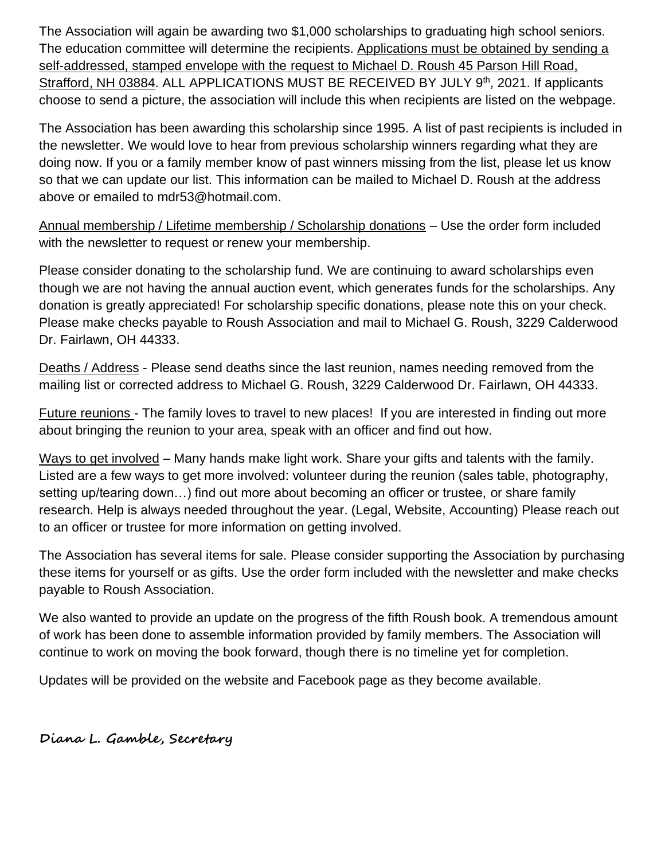The Association will again be awarding two \$1,000 scholarships to graduating high school seniors. The education committee will determine the recipients. Applications must be obtained by sending a self-addressed, stamped envelope with the request to Michael D. Roush 45 Parson Hill Road, Strafford, NH 03884. ALL APPLICATIONS MUST BE RECEIVED BY JULY 9<sup>th</sup>, 2021. If applicants choose to send a picture, the association will include this when recipients are listed on the webpage.

The Association has been awarding this scholarship since 1995. A list of past recipients is included in the newsletter. We would love to hear from previous scholarship winners regarding what they are doing now. If you or a family member know of past winners missing from the list, please let us know so that we can update our list. This information can be mailed to Michael D. Roush at the address above or emailed to mdr53@hotmail.com.

Annual membership / Lifetime membership / Scholarship donations – Use the order form included with the newsletter to request or renew your membership.

Please consider donating to the scholarship fund. We are continuing to award scholarships even though we are not having the annual auction event, which generates funds for the scholarships. Any donation is greatly appreciated! For scholarship specific donations, please note this on your check. Please make checks payable to Roush Association and mail to Michael G. Roush, 3229 Calderwood Dr. Fairlawn, OH 44333.

Deaths / Address - Please send deaths since the last reunion, names needing removed from the mailing list or corrected address to Michael G. Roush, 3229 Calderwood Dr. Fairlawn, OH 44333.

Future reunions - The family loves to travel to new places! If you are interested in finding out more about bringing the reunion to your area, speak with an officer and find out how.

Ways to get involved – Many hands make light work. Share your gifts and talents with the family. Listed are a few ways to get more involved: volunteer during the reunion (sales table, photography, setting up/tearing down…) find out more about becoming an officer or trustee, or share family research. Help is always needed throughout the year. (Legal, Website, Accounting) Please reach out to an officer or trustee for more information on getting involved.

The Association has several items for sale. Please consider supporting the Association by purchasing these items for yourself or as gifts. Use the order form included with the newsletter and make checks payable to Roush Association.

We also wanted to provide an update on the progress of the fifth Roush book. A tremendous amount of work has been done to assemble information provided by family members. The Association will continue to work on moving the book forward, though there is no timeline yet for completion.

Updates will be provided on the website and Facebook page as they become available.

**Diana L. Gamble, Secretary**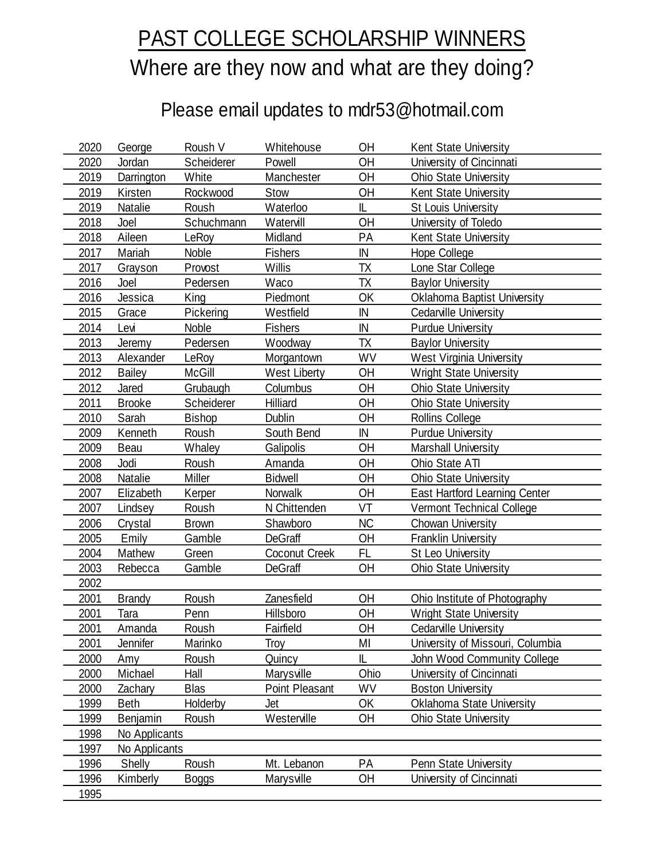## PAST COLLEGE SCHOLARSHIP WINNERS Where are they now and what are they doing?

## Please email updates to mdr53@hotmail.com

| 2020 | George        | Roush V       | Whitehouse           | OH        | Kent State University                |
|------|---------------|---------------|----------------------|-----------|--------------------------------------|
| 2020 | Jordan        | Scheiderer    | Powell               | OH        | University of Cincinnati             |
| 2019 | Darrington    | White         | Manchester           | OH        | <b>Ohio State University</b>         |
| 2019 | Kirsten       | Rockwood      | Stow                 | OH        | Kent State University                |
| 2019 | Natalie       | Roush         | Waterloo             | IL        | <b>St Louis University</b>           |
| 2018 | Joel          | Schuchmann    | Watervill            | OH        | University of Toledo                 |
| 2018 | Aileen        | LeRoy         | Midland              | PA        | Kent State University                |
| 2017 | Mariah        | Noble         | <b>Fishers</b>       | IN        | Hope College                         |
| 2017 | Grayson       | Provost       | Willis               | TX        | Lone Star College                    |
| 2016 | Joel          | Pedersen      | Waco                 | ТX        | <b>Baylor University</b>             |
| 2016 | Jessica       | King          | Piedmont             | OK        | <b>Oklahoma Baptist University</b>   |
| 2015 | Grace         | Pickering     | Westfield            | IN        | Cedarville University                |
| 2014 | Levi          | Noble         | <b>Fishers</b>       | IN        | <b>Purdue University</b>             |
| 2013 | Jeremy        | Pedersen      | Woodway              | <b>TX</b> | <b>Baylor University</b>             |
| 2013 | Alexander     | LeRoy         | Morgantown           | WV        | West Virginia University             |
| 2012 | <b>Bailey</b> | <b>McGill</b> | <b>West Liberty</b>  | OH        | <b>Wright State University</b>       |
| 2012 | Jared         | Grubaugh      | Columbus             | OH        | <b>Ohio State University</b>         |
| 2011 | <b>Brooke</b> | Scheiderer    | Hilliard             | OH        | <b>Ohio State University</b>         |
| 2010 | Sarah         | <b>Bishop</b> | <b>Dublin</b>        | OH        | Rollins College                      |
| 2009 | Kenneth       | Roush         | South Bend           | IN        | <b>Purdue University</b>             |
| 2009 | Beau          | Whaley        | Galipolis            | OH        | Marshall University                  |
| 2008 | Jodi          | Roush         | Amanda               | OH        | Ohio State ATI                       |
| 2008 | Natalie       | Miller        | <b>Bidwell</b>       | OH        | <b>Ohio State University</b>         |
| 2007 | Elizabeth     | Kerper        | Norwalk              | OH        | <b>East Hartford Learning Center</b> |
| 2007 | Lindsey       | Roush         | N Chittenden         | VT        | Vermont Technical College            |
| 2006 | Crystal       | <b>Brown</b>  | Shawboro             | <b>NC</b> | <b>Chowan University</b>             |
| 2005 | Emily         | Gamble        | <b>DeGraff</b>       | OH        | <b>Franklin University</b>           |
| 2004 | Mathew        | Green         | <b>Coconut Creek</b> | <b>FL</b> | St Leo University                    |
| 2003 | Rebecca       | Gamble        | <b>DeGraff</b>       | OH        | <b>Ohio State University</b>         |
| 2002 |               |               |                      |           |                                      |
| 2001 | <b>Brandy</b> | Roush         | Zanesfield           | OH        | Ohio Institute of Photography        |
| 2001 | Tara          | Penn          | Hillsboro            | OН        | Wright State University              |
| 2001 | Amanda        | Roush         | Fairfield            | OH        | Cedarville University                |
| 2001 | Jennifer      | Marinko       | Troy                 | MI        | University of Missouri, Columbia     |
| 2000 | Amy           | Roush         | Quincy               | IL        | John Wood Community College          |
| 2000 | Michael       | Hall          | Marysville           | Ohio      | University of Cincinnati             |
| 2000 | Zachary       | <b>Blas</b>   | Point Pleasant       | WV        | <b>Boston University</b>             |
| 1999 | <b>Beth</b>   | Holderby      | Jet                  | OK        | <b>Oklahoma State University</b>     |
| 1999 | Benjamin      | Roush         | Westerville          | OН        | <b>Ohio State University</b>         |
| 1998 | No Applicants |               |                      |           |                                      |
| 1997 | No Applicants |               |                      |           |                                      |
| 1996 | Shelly        | Roush         | Mt. Lebanon          | PA        | Penn State University                |
| 1996 | Kimberly      | <b>Boggs</b>  | Marysville           | OH        | University of Cincinnati             |
| 1995 |               |               |                      |           |                                      |